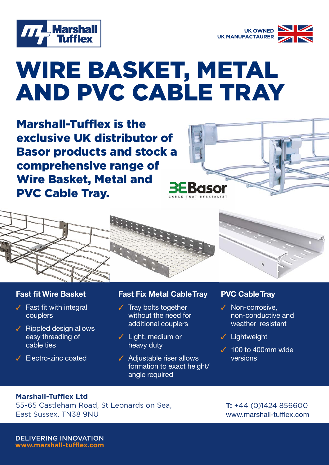



# WIRE BASKET, METAL AND PVC CABLE TRAY

Marshall-Tufflex is the exclusive UK distributor of Basor products and stock a comprehensive range of Wire Basket, Metal and PVC Cable Tray.





#### **Fast fit Wire Basket**

- $\checkmark$  Fast fit with integral couplers
- $\checkmark$  Rippled design allows easy threading of cable ties
- $\checkmark$  Electro-zinc coated

## **Fast Fix Metal Cable Tray**

- $\checkmark$  Tray bolts together without the need for additional couplers
- $\checkmark$  Light, medium or heavy duty
- $\sqrt{\phantom{a}}$  Adjustable riser allows formation to exact height/ angle required

### **PVC Cable Tray**

- $\checkmark$  Non-corrosive. non-conductive and weather resistant
- $\checkmark$  Lightweight
- $\checkmark$  100 to 400mm wide versions

#### **Marshall-Tufflex Ltd**

55-65 Castleham Road, St Leonards on Sea, East Sussex, TN38 9NU

**T:** +44 (0)1424 856600 www.marshall-tufflex.com

DELIVERING INNOVATION **www.marshall-tufflex.com**